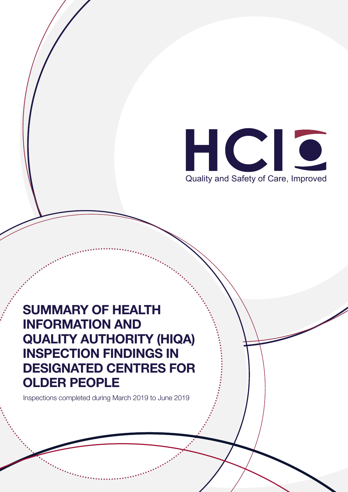HCIO Quality and Safety of Care, Improved

# SUMMARY OF HEALTH INFORMATION AND QUALITY AUTHORITY (HIQA) INSPECTION FINDINGS IN DESIGNATED CENTRES FOR OLDER PEOPLE

Inspections completed during March 2019 to June 2019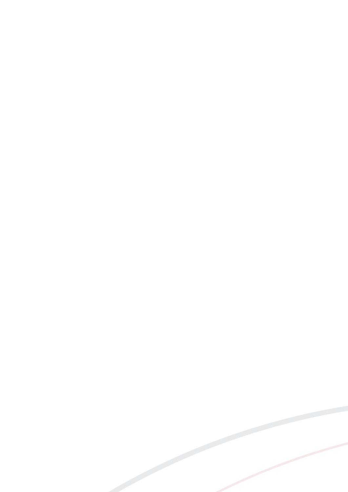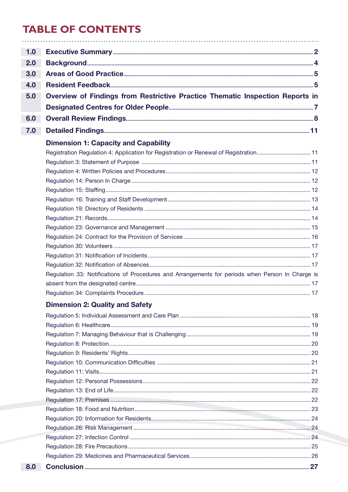# **TABLE OF CONTENTS**

| 1.0 |                                                                                                  |  |
|-----|--------------------------------------------------------------------------------------------------|--|
| 2.0 |                                                                                                  |  |
| 3.0 |                                                                                                  |  |
| 4.0 |                                                                                                  |  |
| 5.0 | Overview of Findings from Restrictive Practice Thematic Inspection Reports in                    |  |
|     |                                                                                                  |  |
| 6.0 |                                                                                                  |  |
|     |                                                                                                  |  |
| 7.0 |                                                                                                  |  |
|     | <b>Dimension 1: Capacity and Capability</b>                                                      |  |
|     | Registration Regulation 4: Application for Registration or Renewal of Registration 11            |  |
|     |                                                                                                  |  |
|     |                                                                                                  |  |
|     |                                                                                                  |  |
|     |                                                                                                  |  |
|     |                                                                                                  |  |
|     |                                                                                                  |  |
|     |                                                                                                  |  |
|     |                                                                                                  |  |
|     |                                                                                                  |  |
|     |                                                                                                  |  |
|     |                                                                                                  |  |
|     |                                                                                                  |  |
|     | Regulation 33: Notifications of Procedures and Arrangements for periods when Person In Charge is |  |
|     |                                                                                                  |  |
|     |                                                                                                  |  |
|     | <b>Dimension 2: Quality and Safety</b>                                                           |  |
|     |                                                                                                  |  |
|     |                                                                                                  |  |
|     |                                                                                                  |  |
|     |                                                                                                  |  |

| $\frac{1}{2}$ |  |
|---------------|--|
|               |  |
|               |  |
|               |  |
|               |  |
|               |  |
|               |  |
|               |  |
|               |  |
|               |  |
|               |  |
|               |  |
|               |  |
|               |  |
|               |  |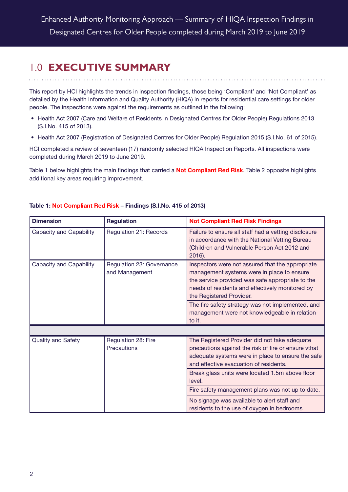# 1.0 **EXECUTIVE SUMMARY**

This report by HCI highlights the trends in inspection findings, those being 'Compliant' and 'Not Compliant' as detailed by the Health Information and Quality Authority (HIQA) in reports for residential care settings for older people. The inspections were against the requirements as outlined in the following:

. . . . . . . . . . . . . . . . .

- Health Act 2007 (Care and Welfare of Residents in Designated Centres for Older People) Regulations 2013 (S.I.No. 415 of 2013).
- Health Act 2007 (Registration of Designated Centres for Older People) Regulation 2015 (S.I.No. 61 of 2015).

HCI completed a review of seventeen (17) randomly selected HIQA Inspection Reports. All inspections were completed during March 2019 to June 2019.

Table 1 below highlights the main findings that carried a **Not Compliant Red Risk**. Table 2 opposite highlights additional key areas requiring improvement.

| <b>Dimension</b>          | <b>Regulation</b>                           | <b>Not Compliant Red Risk Findings</b>                                                                                                                                                                                            |  |  |  |  |  |  |
|---------------------------|---------------------------------------------|-----------------------------------------------------------------------------------------------------------------------------------------------------------------------------------------------------------------------------------|--|--|--|--|--|--|
| Capacity and Capability   | Regulation 21: Records                      | Failure to ensure all staff had a vetting disclosure<br>in accordance with the National Vetting Bureau<br>(Children and Vulnerable Person Act 2012 and<br>2016).                                                                  |  |  |  |  |  |  |
| Capacity and Capability   | Regulation 23: Governance<br>and Management | Inspectors were not assured that the appropriate<br>management systems were in place to ensure<br>the service provided was safe appropriate to the<br>needs of residents and effectively monitored by<br>the Registered Provider. |  |  |  |  |  |  |
|                           |                                             | The fire safety strategy was not implemented, and<br>management were not knowledgeable in relation<br>to it.                                                                                                                      |  |  |  |  |  |  |
|                           |                                             |                                                                                                                                                                                                                                   |  |  |  |  |  |  |
| <b>Quality and Safety</b> | Regulation 28: Fire<br>Precautions          | The Registered Provider did not take adequate<br>precautions against the risk of fire or ensure vthat<br>adequate systems were in place to ensure the safe<br>and effective evacuation of residents.                              |  |  |  |  |  |  |
|                           |                                             | Break glass units were located 1.5m above floor<br>level.                                                                                                                                                                         |  |  |  |  |  |  |
|                           |                                             | Fire safety management plans was not up to date.                                                                                                                                                                                  |  |  |  |  |  |  |
|                           |                                             | No signage was available to alert staff and<br>residents to the use of oxygen in bedrooms.                                                                                                                                        |  |  |  |  |  |  |

#### Table 1: Not Compliant Red Risk – Findings (S.I.No. 415 of 2013)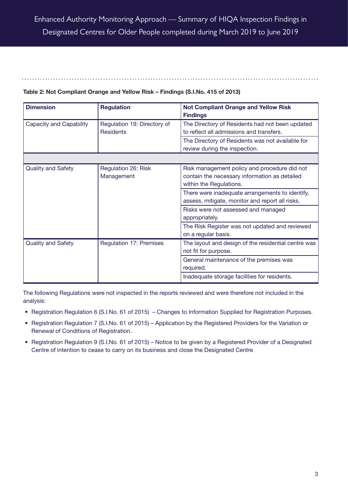. . . . . . . . . . . . . . . . . . .

#### Table 2: Not Compliant Orange and Yellow Risk – Findings (S.I.No. 415 of 2013)

| <b>Dimension</b>          | <b>Regulation</b>                               | <b>Not Compliant Orange and Yellow Risk</b><br><b>Findings</b>                                                                                                                                                                                                                                                                            |  |  |  |  |  |  |
|---------------------------|-------------------------------------------------|-------------------------------------------------------------------------------------------------------------------------------------------------------------------------------------------------------------------------------------------------------------------------------------------------------------------------------------------|--|--|--|--|--|--|
| Capacity and Capability   | Regulation 19: Directory of<br><b>Residents</b> | The Directory of Residents had not been updated<br>to reflect all admissions and transfers.                                                                                                                                                                                                                                               |  |  |  |  |  |  |
|                           |                                                 | The Directory of Residents was not available for<br>review during the inspection.                                                                                                                                                                                                                                                         |  |  |  |  |  |  |
|                           |                                                 |                                                                                                                                                                                                                                                                                                                                           |  |  |  |  |  |  |
| <b>Quality and Safety</b> | Regulation 26: Risk<br>Management               | Risk management policy and procedure did not<br>contain the necessary information as detailed<br>within the Regulations.<br>There were inadequate arrangements to identify,<br>assess, mitigate, monitor and report all risks.<br>Risks were not assessed and managed<br>appropriately.<br>The Risk Register was not updated and reviewed |  |  |  |  |  |  |
|                           |                                                 | on a regular basis.                                                                                                                                                                                                                                                                                                                       |  |  |  |  |  |  |
| <b>Quality and Safety</b> | Regulation 17: Premises                         | The layout and design of the residential centre was<br>not fit for purpose.                                                                                                                                                                                                                                                               |  |  |  |  |  |  |
|                           |                                                 | General maintenance of the premises was<br>required.                                                                                                                                                                                                                                                                                      |  |  |  |  |  |  |
|                           |                                                 | Inadequate storage facilities for residents.                                                                                                                                                                                                                                                                                              |  |  |  |  |  |  |

The following Regulations were not inspected in the reports reviewed and were therefore not included in the analysis:

- Registration Regulation 6 (S.I.No. 61 of 2015) Changes to Information Supplied for Registration Purposes.
- Registration Regulation 7 (S.I.No. 61 of 2015) Application by the Registered Providers for the Variation or Renewal of Conditions of Registration.
- Registration Regulation 9 (S.I.No. 61 of 2015) Notice to be given by a Registered Provider of a Designated Centre of intention to cease to carry on its business and close the Designated Centre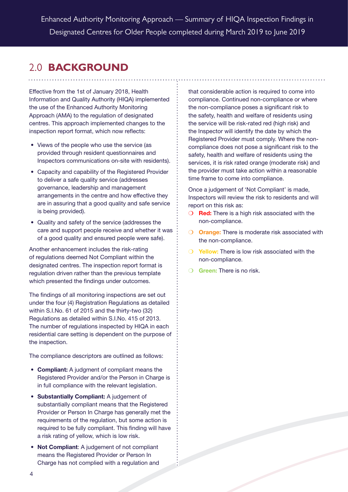# 2.0 **BACKGROUND**

Effective from the 1st of January 2018, Health Information and Quality Authority (HIQA) implemented the use of the Enhanced Authority Monitoring Approach (AMA) to the regulation of designated centres. This approach implemented changes to the inspection report format, which now reflects:

- Views of the people who use the service (as provided through resident questionnaires and Inspectors communications on-site with residents).
- Capacity and capability of the Registered Provider to deliver a safe quality service (addresses governance, leadership and management arrangements in the centre and how effective they are in assuring that a good quality and safe service is being provided).
- Quality and safety of the service (addresses the care and support people receive and whether it was of a good quality and ensured people were safe).

Another enhancement includes the risk-rating of regulations deemed Not Compliant within the designated centres. The inspection report format is regulation driven rather than the previous template which presented the findings under outcomes.

The findings of all monitoring inspections are set out under the four (4) Registration Regulations as detailed within S.I.No. 61 of 2015 and the thirty-two (32) Regulations as detailed within S.I.No. 415 of 2013. The number of regulations inspected by HIQA in each residential care setting is dependent on the purpose of the inspection.

The compliance descriptors are outlined as follows:

- Compliant: A judgment of compliant means the Registered Provider and/or the Person in Charge is in full compliance with the relevant legislation.
- Substantially Compliant: A judgement of substantially compliant means that the Registered Provider or Person In Charge has generally met the requirements of the regulation, but some action is required to be fully compliant. This finding will have a risk rating of yellow, which is low risk.
- Not Compliant: A judgement of not compliant means the Registered Provider or Person In Charge has not complied with a regulation and

that considerable action is required to come into compliance. Continued non-compliance or where the non-compliance poses a significant risk to the safety, health and welfare of residents using the service will be risk-rated red (high risk) and the Inspector will identify the date by which the Registered Provider must comply. Where the noncompliance does not pose a significant risk to the safety, health and welfare of residents using the services, it is risk rated orange (moderate risk) and the provider must take action within a reasonable time frame to come into compliance.

Once a judgement of 'Not Compliant' is made, Inspectors will review the risk to residents and will report on this risk as:

- $\bigcirc$  **Red:** There is a high risk associated with the non-compliance.
- O **Orange:** There is moderate risk associated with the non-compliance.
- ◯ **Yellow:** There is low risk associated with the non-compliance.
- Green: There is no risk.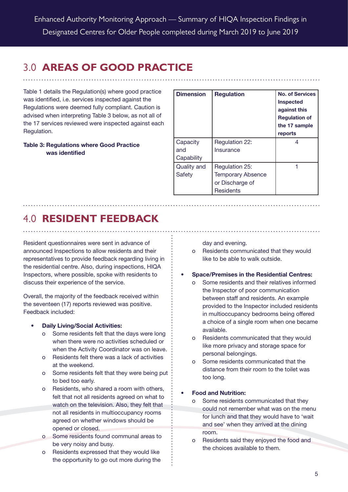# 3.0 **AREAS OF GOOD PRACTICE**

Table 1 details the Regulation(s) where good practice was identified, i.e. services inspected against the Regulations were deemed fully compliant. Caution is advised when interpreting Table 3 below, as not all of the 17 services reviewed were inspected against each Regulation.

#### Table 3: Regulations where Good Practice was identified

| <b>Dimension</b>              | <b>Regulation</b>                                                                 | <b>No. of Services</b><br><b>Inspected</b><br>against this<br><b>Regulation of</b><br>the 17 sample<br>reports |
|-------------------------------|-----------------------------------------------------------------------------------|----------------------------------------------------------------------------------------------------------------|
| Capacity<br>and<br>Capability | Regulation 22:<br>Insurance                                                       |                                                                                                                |
| Quality and<br>Safety         | Regulation 25:<br><b>Temporary Absence</b><br>or Discharge of<br><b>Residents</b> |                                                                                                                |

# 4.0 **RESIDENT FEEDBACK**

Resident questionnaires were sent in advance of announced Inspections to allow residents and their representatives to provide feedback regarding living in the residential centre. Also, during inspections, HIQA Inspectors, where possible, spoke with residents to discuss their experience of the service.

Overall, the majority of the feedback received within the seventeen (17) reports reviewed was positive. Feedback included:

#### • Daily Living/Social Activities:

- o Some residents felt that the days were long when there were no activities scheduled or when the Activity Coordinator was on leave.
- o Residents felt there was a lack of activities at the weekend.
- o Some residents felt that they were being put to bed too early.
- o Residents, who shared a room with others, felt that not all residents agreed on what to watch on the television. Also, they felt that not all residents in multioccupancy rooms agreed on whether windows should be opened or closed.
- o Some residents found communal areas to be very noisy and busy.
- o Residents expressed that they would like the opportunity to go out more during the

day and evening.

 o Residents communicated that they would like to be able to walk outside.

#### • Space/Premises in the Residential Centres:

- o Some residents and their relatives informed the Inspector of poor communication between staff and residents. An example provided to the Inspector included residents in multioccupancy bedrooms being offered a choice of a single room when one became available.
- o Residents communicated that they would like more privacy and storage space for personal belongings.
- o Some residents communicated that the distance from their room to the toilet was too long.

#### • Food and Nutrition:

- o Some residents communicated that they could not remember what was on the menu for lunch and that they would have to 'wait and see' when they arrived at the dining room.
- o Residents said they enjoyed the food and the choices available to them.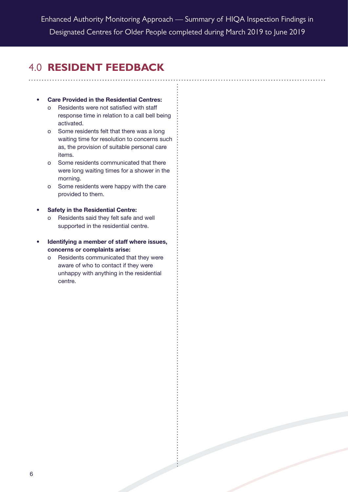# 4.0 **RESIDENT FEEDBACK**

#### • Care Provided in the Residential Centres:

- o Residents were not satisfied with staff response time in relation to a call bell being activated.
- o Some residents felt that there was a long waiting time for resolution to concerns such as, the provision of suitable personal care items.
- o Some residents communicated that there were long waiting times for a shower in the morning.
- o Some residents were happy with the care provided to them.

#### Safety in the Residential Centre:

- o Residents said they felt safe and well supported in the residential centre.
- Identifying a member of staff where issues, concerns or complaints arise:
	- o Residents communicated that they were aware of who to contact if they were unhappy with anything in the residential centre.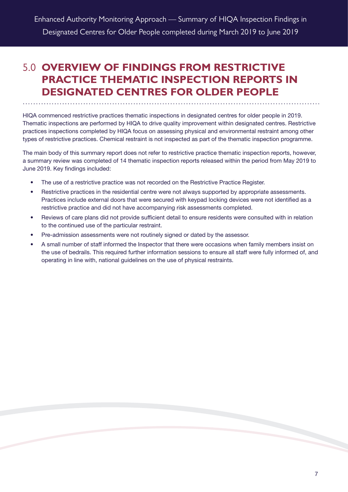# 5.0 **OVERVIEW OF FINDINGS FROM RESTRICTIVE PRACTICE THEMATIC INSPECTION REPORTS IN DESIGNATED CENTRES FOR OLDER PEOPLE**

HIQA commenced restrictive practices thematic inspections in designated centres for older people in 2019. Thematic inspections are performed by HIQA to drive quality improvement within designated centres. Restrictive practices inspections completed by HIQA focus on assessing physical and environmental restraint among other types of restrictive practices. Chemical restraint is not inspected as part of the thematic inspection programme.

The main body of this summary report does not refer to restrictive practice thematic inspection reports, however, a summary review was completed of 14 thematic inspection reports released within the period from May 2019 to June 2019. Key findings included:

- The use of a restrictive practice was not recorded on the Restrictive Practice Register.
- Restrictive practices in the residential centre were not always supported by appropriate assessments. Practices include external doors that were secured with keypad locking devices were not identified as a restrictive practice and did not have accompanying risk assessments completed.
- Reviews of care plans did not provide sufficient detail to ensure residents were consulted with in relation to the continued use of the particular restraint.
- Pre-admission assessments were not routinely signed or dated by the assessor.
- A small number of staff informed the Inspector that there were occasions when family members insist on the use of bedrails. This required further information sessions to ensure all staff were fully informed of, and operating in line with, national guidelines on the use of physical restraints.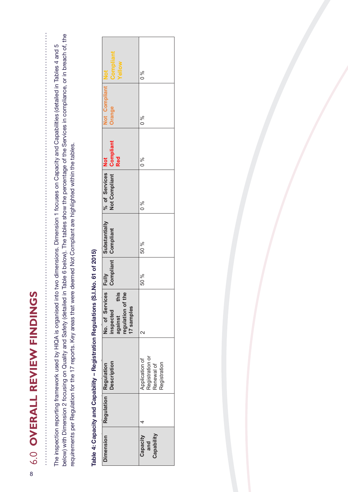6.0 OVERALL REVIEW FINDINGS 6.0 **OVERALL REVIEW FINDINGS** 8

below) with Dimension 2 focusing on Quality and Safety (detailed in Table 6 below). The tables show the percentage of the Services in compliance, or in breach of, the below) with Dimension 2 focusing on Quality and Safety (detailed in Table 6 below). The tables show the percentage of the Services in compliance, or in breach of, the The inspection reporting framework used by HIQA is organised into two dimensions. Dimension 1 focuses on Capacity and Capabilities (detailed in Tables 4 and 5 The inspection reporting framework used by HIQA is organised into two dimensions. Dimension 1 focuses on Capacity and Capabilities (detailed in Tables 4 and 5 anuirements per Benulation for the 17 reports. Key areas that were deemed Not Compliant are bigblighted within the tables below) with Dimension 2 focusing on  $\mathcal{C}$  focusing on  $\mathcal{C}$  focusing of the Services in compliance, or in compliance, or in compliance, or in compliance, or in compliance, or in compliance, or in compliance, or in co requirements per Regulation for the 17 reports. Key areas that were deemed Not Compliant are highlighted within the tables. requirements per Regulation for the 17 reports. Key areas that were deemed Not Compliant are highlighted within the tables. **6.0 b** *b indension* 2 focusing on

| Compliant<br>Yellow<br>$\frac{1}{2}$                                                                                                                                         | ა<br>0 %                                                        |
|------------------------------------------------------------------------------------------------------------------------------------------------------------------------------|-----------------------------------------------------------------|
| Not Compliant<br>Orange                                                                                                                                                      | ა<br>0 %                                                        |
|                                                                                                                                                                              | o<br>0 %                                                        |
|                                                                                                                                                                              | ა<br>ბ                                                          |
|                                                                                                                                                                              | 50 %                                                            |
|                                                                                                                                                                              | 50 %                                                            |
| No. of Services Fully Substantially % of Services Not inspected Compliant Compliant Not Compliant Compliant Area<br>this<br>Fthe<br>regulation of t<br>17 samples<br>against |                                                                 |
| Description                                                                                                                                                                  | Registration or<br>Application of<br>Registration<br>Renewal of |
| Regulation Regulation                                                                                                                                                        |                                                                 |
| <b>Dimension</b>                                                                                                                                                             | Capacity<br>Capability<br>and                                   |

# Table 4: Capacity and Capability - Registration Regulations (S.I.No. 61 of 2015) Table 4: Capacity and Capability – Registration Regulations (S.I.No. 61 of 2015)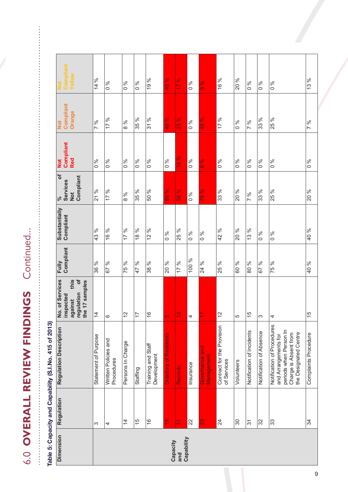**Enhanced Authority Monitoring Approach** 6.0 OVERALL REVIEW FINDINGS Continued... 6.0 **OVERALL REVIEW FINDINGS** Continued...

**Summary of HIQA Inspection Findings in Designated Centres for Older People completed during March 2019 to June 2019**

"好"的的现在分词的现在分词的现在分词的现在分词的现在分词形式的现在分词形式的现在分词形式的现在分词形式的现在分词形式的现在分词形式的现在分词形式

# **Table 5: Capacity and Capability (S.I.No. 415 of 2013)** Table 5: Capacity and Capability (S.I.No. 415 of 2013) Table 5: Capacity and Capability (S.I.No. 415 of 2013)

**\*\*\*\*\*\*\*\*\*\*\*\*\*\*\*\*\*\*\*\*\*\*\*\*\*\*** 

| Compliant<br>Yellow<br>$\frac{1}{2}$                                                            | $\frac{96}{14}$               | $\%$ 0                             | $\%$ 0            | $\frac{96}{6}$     | $\%$<br>Q)                        | 40 %                    | $\aleph$<br>$\overline{\overline{C}}$ | $\%$ 0          | $\frac{5}{6}$                | ℅<br>$\frac{6}{5}$                        | 20 %            | $\%$ 0                    | $\%$ 0                  | $\frac{9}{6}$                                                                                                                  | ℅<br>$\frac{1}{2}$   |
|-------------------------------------------------------------------------------------------------|-------------------------------|------------------------------------|-------------------|--------------------|-----------------------------------|-------------------------|---------------------------------------|-----------------|------------------------------|-------------------------------------------|-----------------|---------------------------|-------------------------|--------------------------------------------------------------------------------------------------------------------------------|----------------------|
| Compliant<br>Orange<br>Not                                                                      | $\frac{96}{6}$                | 17 %                               | $\%$<br>$\infty$  | 35 %               | 31%                               | 40 %                    | $\aleph$<br>$\frac{5}{2}$             | $\%$<br>$\circ$ | 65%                          | 17 %                                      | $\%$<br>$\circ$ | $\%$<br>$\overline{r}$    | 33 %                    | 25 %                                                                                                                           | 7 %                  |
| Compliant<br>Red<br>Not                                                                         | $\%$ 0                        | $\frac{9}{6}$                      | $\%$ 0            | ಸಿ<br>$\circ$      | ℅<br>$\circ$                      | $\%$ 0                  | 16 %                                  | $\frac{9}{6}$   | $\aleph$<br>$\bullet$        | $\%$ 0                                    | $\%$ 0          | ಸಿ<br>$\circ$             | $\frac{6}{6}$           | $\frac{9}{6}$                                                                                                                  | $\frac{96}{6}$       |
| $\delta$<br>Compliant<br>Services<br>Not<br>$\aleph$                                            | $\frac{8}{21}$ %              | 17 %                               | 8 %               | 35 %               | 50 %                              | 80 %                    | 58%                                   | $\%$ 0          | 76%                          | ℅<br>33                                   | 20 %            | 7 %                       | 33 %                    | 25 %                                                                                                                           | 20 %                 |
| Substantially<br>Compliant                                                                      | 43 %                          | 16 %                               | 17 %              | %<br>$\frac{8}{1}$ | 12 %                              | $\%$ 0                  | 25 %                                  | $\%$<br>$\circ$ | $\frac{9}{6}$                | $\%$<br>$\frac{4}{2}$                     | <b>20 %</b>     | 13 %                      | $\%$ 0                  | $\frac{96}{6}$                                                                                                                 | 40 %                 |
| Compliant<br>Fully                                                                              | 36 %                          | 67 %                               | 75 %              | 47 %               | 38 %                              | 20 %                    | 17 %                                  | 100 %           | 24 %                         | ಸಿ<br>25                                  | 60 %            | 80 %                      | 67 %                    | 75 %                                                                                                                           | 40 %                 |
| No. of Services<br>this<br>$\mathbf{p}$<br>the 17 samples<br>regulation<br>inspected<br>against | ≄                             | $\circ$                            | 2                 | $\overline{1}$     | $\frac{6}{5}$                     | $\overline{\mathbf{C}}$ | $\frac{N}{L}$                         | 4               | $\overline{\overline{C}}$    | $\overline{c}$                            | 5               | $\frac{1}{2}$             | $\infty$                | 4                                                                                                                              | $\frac{15}{2}$       |
| <b>Regulation Description</b>                                                                   | Statement of Purpose          | Written Policies and<br>Procedures | Persons In Charge | Staffing           | Training and Staff<br>Development | Directory of Residents  | Records                               | Insurance       | Governance and<br>Management | Contract for the Provision<br>of Services | Volunteers      | Notification of Incidents | Notification of Absence | Notification of Procedures<br>periods when Person In<br>the Designated Centre<br>Charge is Absent from<br>and Arrangements for | Complaints Procedure |
| Regulation                                                                                      | S                             | 4                                  | $\overline{4}$    | 15                 | $\frac{6}{5}$                     | $\frac{0}{1}$           | $\overline{\mathbf{N}}$               | 22              | $\mathfrak{S}$               | 24                                        | 30              | 37                        | $\sqrt{32}$             | 33                                                                                                                             | 34                   |
| <b>Dimension</b>                                                                                | Capability<br>Capacity<br>and |                                    |                   |                    |                                   |                         |                                       |                 |                              |                                           |                 |                           |                         |                                                                                                                                |                      |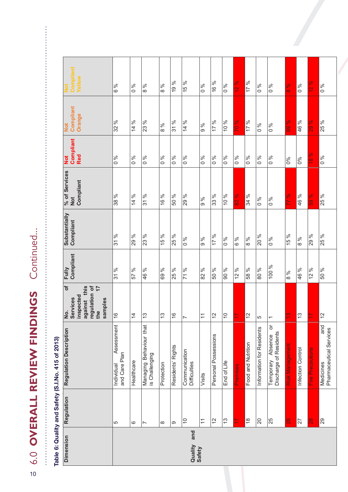**Enhanced Authority Monitoring Approach** 6.0 **OVERALL REVIEW FINDINGS** Continued... 5 6.0 OVERALL REVIEW FINDINGS Continued...

**Summary of HIQA Inspection Findings in Designated Centres for Older People completed during March 2019 to June 2019**

# Table 6: Quality and Safety (S.I.No. 415 of 2013) Table 6: Quality and Safety (S.I.No. 415 of 2013)

| Compliant<br>Yellow<br>$\frac{1}{2}$                                                                                           | $\frac{96}{6}$                            | $\%$<br>$\bar{\circ}$  | న<br>$\infty$                             | 8%               | న<br>$\frac{6}{5}$  | 15 %                                 | $\frac{96}{6}$            | 16 %                 | $\frac{96}{6}$         | 12%                                | 17 %                           | $\%$ 0                    | ℅<br>$\circ$                                        | $\aleph$<br>$\infty$ | $\frac{6}{6}$     | 12 %                     | $\%$ 0                                      |
|--------------------------------------------------------------------------------------------------------------------------------|-------------------------------------------|------------------------|-------------------------------------------|------------------|---------------------|--------------------------------------|---------------------------|----------------------|------------------------|------------------------------------|--------------------------------|---------------------------|-----------------------------------------------------|----------------------|-------------------|--------------------------|---------------------------------------------|
| Compliant<br><b>Orange</b><br>$\frac{1}{2}$                                                                                    | $\%$<br>32                                | 14 %                   | $\%$<br>23                                | $\%$<br>$\infty$ | %<br>$\overline{3}$ | 14 %                                 | $\frac{5}{6}$<br>$\infty$ | 17 %                 | ℅<br>$\overline{C}$    | % 07                               | 17 %                           | $\%$ 0                    | $\%$<br>$\circ$                                     | $\aleph$<br>တ<br>ပ   | ಸಿ<br>46          | $\infty$<br>တ<br>လ       | 25 %                                        |
| Compliant<br>Red<br>$\frac{1}{2}$                                                                                              | ಸಿ<br>$\circ$                             | ಸಿ<br>$\circ$          | $\%$<br>$\circ$                           | %<br>$\circ$     | ℅<br>$\circ$        | $\frac{9}{6}$                        | $\frac{8}{3}$<br>$\circ$  | $\%$<br>$\circ$      | $\%$<br>$\circ$        | $\%$ 0                             | $\%$<br>$\circ$                | $\%$ 0                    | $\%$ 0                                              | 0%                   | 0%                | 18 %                     | $\%$ 0                                      |
| % of Services<br>Compliant<br>Not                                                                                              | 38 %                                      | $\%$<br>$\overline{4}$ | $\%$<br>$\overline{3}$                    | $\frac{96}{16}$  | 50 %                | 29 %                                 | % 6                       | 33 %                 | ℅<br>$\frac{1}{2}$     | $\mathcal{S}_{6}$<br>$\frac{1}{8}$ | 34 %                           | $\%$ 0                    | $\%$ 0                                              | $\aleph$<br>77       | ಸಿ<br>46          | 59 %                     | 25 %                                        |
| Substantially<br>Compliant                                                                                                     | 31 %                                      | 29 %                   | %<br>23                                   | 15 %             | %<br>25             | $\frac{9}{6}$                        | $\%$<br>$\infty$          | $^{96}$ 11           | $\%$<br>$\circ$        | $\%$<br>$\circ$                    | $\%$<br>$\infty$               | 20 %                      | $\%$ 0                                              | 15%                  | ಸಿ<br>$\infty$    | 29 %                     | 25 %                                        |
| Compliant<br>Fully                                                                                                             | 31%                                       | ಸಿ<br>57               | ಸಿ<br>46                                  | ಸ<br>69          | ಸಿ<br>25            | 71 %                                 | $\frac{8}{3}$<br>82       | 50 %                 | $\%$<br>$\overline{0}$ | 12 %                               | 58 %                           | 80 %                      | 100 %                                               | 8%                   | $\%$<br>46        | 12 %                     | 50 %                                        |
| $\delta$<br>regulation of<br>against this<br>$\overline{1}$<br>inspected<br><b>Services</b><br>samples<br>the<br><u>o</u><br>2 | $\frac{6}{1}$                             | $\overline{4}$         | $\frac{3}{2}$                             | $\frac{3}{2}$    | $\frac{6}{1}$       | $\overline{\phantom{1}}$             | $\overline{\mathcal{L}}$  | $\tilde{c}$          | $\overline{0}$         | $\overline{\overline{}}$           | $\tilde{c}$                    | 5                         | $\overline{\phantom{0}}$                            | $\frac{1}{2}$        | 13                | $\overline{\overline{}}$ | $\frac{2}{3}$                               |
| Regulation Description<br>ןטופ <sub>ו</sub> ט בא                                                                               | Assessment<br>and Care Plan<br>Individual | Healthcare             | Managing Behaviour that<br>is Challenging | Protection       | Residents' Rights   | Communication<br><b>Difficulties</b> | Visits                    | Personal Possessions | End of Life            | Premises                           | Food and Nutrition             | Information for Residents | ŏ<br>Discharge of Residents<br>Absence<br>Temporary | Risk Management      | Infection Control | <b>Fire Precautions</b>  | and<br>Medicines<br>Pharmaceutical Services |
| Regulation                                                                                                                     | 5                                         | ဖ                      | $\overline{ }$                            | $\infty$         | ω                   | $\tilde{0}$                          | $\leftarrow$              | $\tilde{c}$          | $\tilde{c}$            | $\overline{\overline{C}}$          | $\overset{\infty}{\leftarrow}$ | $\overline{20}$           | 25                                                  | $\frac{8}{2}$        | 27                | $\frac{8}{2}$            | 29                                          |
| <b>Dimension</b>                                                                                                               | and<br>Quality<br>Safety                  |                        |                                           |                  |                     |                                      |                           |                      |                        |                                    |                                |                           |                                                     |                      |                   |                          |                                             |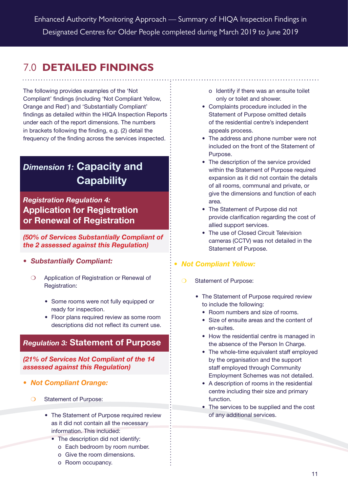# 7.0 **DETAILED FINDINGS**

The following provides examples of the 'Not Compliant' findings (including 'Not Compliant Yellow, Orange and Red') and 'Substantially Compliant' findings as detailed within the HIQA Inspection Reports under each of the report dimensions. The numbers in brackets following the finding, e.g. (2) detail the frequency of the finding across the services inspected.

# *Dimension 1:* Capacity and **Capability**

*Registration Regulation 4:* Application for Registration or Renewal of Registration

*(50% of Services Substantially Compliant of the 2 assessed against this Regulation)*

- *• Substantially Compliant:*
	- O Application of Registration or Renewal of Registration:
		- Some rooms were not fully equipped or ready for inspection.
		- Floor plans required review as some room descriptions did not reflect its current use.

#### *Regulation 3:* Statement of Purpose

*(21% of Services Not Compliant of the 14 assessed against this Regulation)*

- *• Not Compliant Orange:*
	- Statement of Purpose:
		- The Statement of Purpose required review as it did not contain all the necessary information. This included:
			- The description did not identify:
				- o Each bedroom by room number.
				- o Give the room dimensions.
				- o Room occupancy.
- o Identify if there was an ensuite toilet only or toilet and shower.
- Complaints procedure included in the Statement of Purpose omitted details of the residential centre's independent appeals process.
- The address and phone number were not included on the front of the Statement of Purpose.
- The description of the service provided within the Statement of Purpose required expansion as it did not contain the details of all rooms, communal and private, or give the dimensions and function of each area.
- The Statement of Purpose did not provide clarification regarding the cost of allied support services.
- The use of Closed Circuit Television cameras (CCTV) was not detailed in the Statement of Purpose.

#### *• Not Compliant Yellow:*

- O Statement of Purpose:
	- The Statement of Purpose required review to include the following:
		- Room numbers and size of rooms.
		- Size of ensuite areas and the content of en-suites.
		- How the residential centre is managed in the absence of the Person In Charge.
		- The whole-time equivalent staff employed by the organisation and the support staff employed through Community Employment Schemes was not detailed.
		- A description of rooms in the residential centre including their size and primary function.
		- The services to be supplied and the cost of any additional services.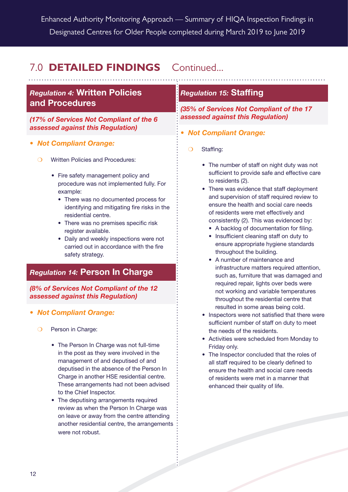# 7.0 **DETAILED FINDINGS** Continued...

#### *Regulation 4:* Written Policies and Procedures

*(17% of Services Not Compliant of the 6 assessed against this Regulation)*

- *• Not Compliant Orange:*
	- O Written Policies and Procedures:
		- Fire safety management policy and procedure was not implemented fully. For example:
			- There was no documented process for identifying and mitigating fire risks in the residential centre.
			- There was no premises specific risk register available.
			- Daily and weekly inspections were not carried out in accordance with the fire safety strategy.

#### *Regulation 14:* Person In Charge

#### *(8% of Services Not Compliant of the 12 assessed against this Regulation)*

- *• Not Compliant Orange:*
	- O Person in Charge:
		- The Person In Charge was not full-time in the post as they were involved in the management of and deputised of and deputised in the absence of the Person In Charge in another HSE residential centre. These arrangements had not been advised to the Chief Inspector.
		- The deputising arrangements required review as when the Person In Charge was on leave or away from the centre attending another residential centre, the arrangements were not robust.

# 

#### *Regulation 15:* Staffing

*(35% of Services Not Compliant of the 17 assessed against this Regulation)*

- *• Not Compliant Orange:*
	- ❍ Staffing:
		- The number of staff on night duty was not sufficient to provide safe and effective care to residents (2).
		- There was evidence that staff deployment and supervision of staff required review to ensure the health and social care needs of residents were met effectively and consistently (2). This was evidenced by:
			- A backlog of documentation for filing.
			- Insufficient cleaning staff on duty to ensure appropriate hygiene standards throughout the building.
			- A number of maintenance and infrastructure matters required attention, such as, furniture that was damaged and required repair, lights over beds were not working and variable temperatures throughout the residential centre that resulted in some areas being cold.
		- Inspectors were not satisfied that there were sufficient number of staff on duty to meet the needs of the residents.
		- Activities were scheduled from Monday to Friday only.
		- The Inspector concluded that the roles of all staff required to be clearly defined to ensure the health and social care needs of residents were met in a manner that enhanced their quality of life.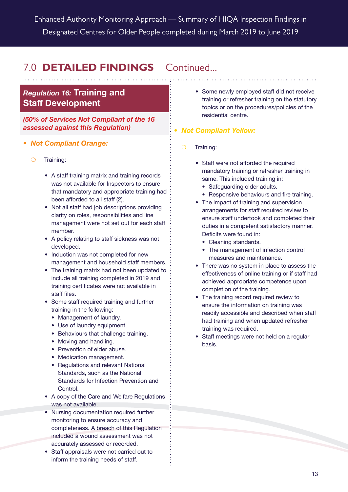# 7.0 **DETAILED FINDINGS** Continued...

## *Regulation 16:* Training and Staff Development

*(50% of Services Not Compliant of the 16 assessed against this Regulation)*

- *• Not Compliant Orange:*
	- O Training:
		- A staff training matrix and training records was not available for Inspectors to ensure that mandatory and appropriate training had been afforded to all staff (2).
		- Not all staff had job descriptions providing clarity on roles, responsibilities and line management were not set out for each staff member.
		- A policy relating to staff sickness was not developed.
		- Induction was not completed for new management and household staff members.
		- The training matrix had not been updated to include all training completed in 2019 and training certificates were not available in staff files.
		- Some staff required training and further training in the following:
			- Management of laundry.
			- Use of laundry equipment.
			- Behaviours that challenge training.
			- Moving and handling.
			- Prevention of elder abuse.
			- Medication management.
			- Regulations and relevant National Standards, such as the National Standards for Infection Prevention and Control.
		- A copy of the Care and Welfare Regulations was not available.
		- Nursing documentation required further monitoring to ensure accuracy and completeness. A breach of this Regulation included a wound assessment was not accurately assessed or recorded.
		- Staff appraisals were not carried out to inform the training needs of staff.

• Some newly employed staff did not receive training or refresher training on the statutory topics or on the procedures/policies of the residential centre.

#### *• Not Compliant Yellow:*

- O Training:
	- Staff were not afforded the required mandatory training or refresher training in same. This included training in:
		- Safeguarding older adults.
		- Responsive behaviours and fire training.
	- The impact of training and supervision arrangements for staff required review to ensure staff undertook and completed their duties in a competent satisfactory manner. Deficits were found in:
		- Cleaning standards.
		- The management of infection control measures and maintenance.
	- There was no system in place to assess the effectiveness of online training or if staff had achieved appropriate competence upon completion of the training.
	- The training record required review to ensure the information on training was readily accessible and described when staff had training and when updated refresher training was required.
	- Staff meetings were not held on a regular basis.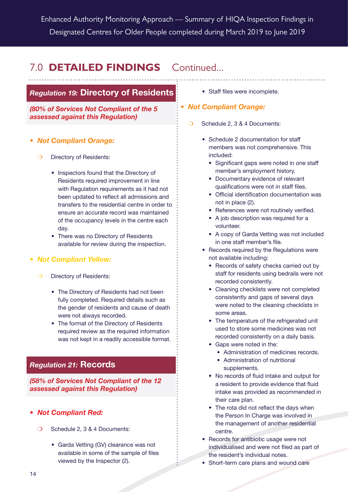#### *Regulation 19:* Directory of Residents

*(80% of Services Not Compliant of the 5 assessed against this Regulation)*

- *• Not Compliant Orange:*
	- O Directory of Residents:
		- Inspectors found that the Directory of Residents required improvement in line with Regulation requirements as it had not been updated to reflect all admissions and transfers to the residential centre in order to ensure an accurate record was maintained of the occupancy levels in the centre each day.
		- There was no Directory of Residents available for review during the inspection.

#### *• Not Compliant Yellow:*

- O Directory of Residents:
	- The Directory of Residents had not been fully completed. Required details such as the gender of residents and cause of death were not always recorded.
	- The format of the Directory of Residents required review as the required information was not kept in a readily accessible format.

#### *Regulation 21:* Records

*(58% of Services Not Compliant of the 12 assessed against this Regulation)* 

#### *• Not Compliant Red:*

- O Schedule 2, 3 & 4 Documents:
	- Garda Vetting (GV) clearance was not available in some of the sample of files viewed by the Inspector (2).

• Staff files were incomplete.

#### *• Not Compliant Orange:*

- ❍ Schedule 2, 3 & 4 Documents:
	- Schedule 2 documentation for staff members was not comprehensive. This included:
		- Significant gaps were noted in one staff member's employment history.
		- Documentary evidence of relevant qualifications were not in staff files.
		- Official identification documentation was not in place (2).
		- References were not routinely verified.
		- A job description was required for a volunteer.
		- A copy of Garda Vetting was not included in one staff member's file.
	- Records required by the Regulations were not available including:
		- Records of safety checks carried out by staff for residents using bedrails were not recorded consistently.
		- Cleaning checklists were not completed consistently and gaps of several days were noted to the cleaning checklists in some areas.
		- The temperature of the refrigerated unit used to store some medicines was not recorded consistently on a daily basis.
		- Gaps were noted in the:
			- Administration of medicines records.
			- Administration of nutritional supplements.
		- No records of fluid intake and output for a resident to provide evidence that fluid intake was provided as recommended in their care plan.
		- The rota did not reflect the days when the Person In Charge was involved in the management of another residential centre.
	- Records for antibiotic usage were not individualised and were not filed as part of the resident's individual notes.
	- Short-term care plans and wound care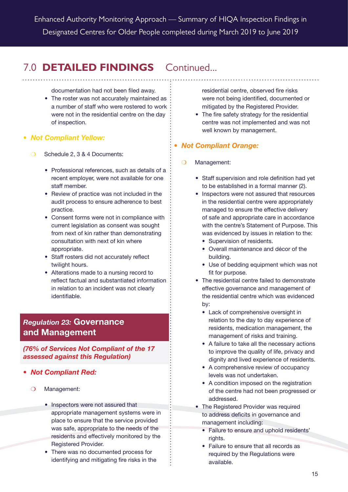documentation had not been filed away.

- The roster was not accurately maintained as a number of staff who were rostered to work were not in the residential centre on the day of inspection.
- *• Not Compliant Yellow:*
	- Schedule 2, 3 & 4 Documents:
		- Professional references, such as details of a recent employer, were not available for one staff member.
		- Review of practice was not included in the audit process to ensure adherence to best practice.
		- Consent forms were not in compliance with current legislation as consent was sought from next of kin rather than demonstrating consultation with next of kin where appropriate.
		- Staff rosters did not accurately reflect twilight hours.
		- Alterations made to a nursing record to reflect factual and substantiated information in relation to an incident was not clearly identifiable.

#### *Regulation 23:* Governance and Management

*(76% of Services Not Compliant of the 17 assessed against this Regulation)*

- *• Not Compliant Red:*
	- O Management:
		- Inspectors were not assured that appropriate management systems were in place to ensure that the service provided was safe, appropriate to the needs of the residents and effectively monitored by the Registered Provider.
		- There was no documented process for identifying and mitigating fire risks in the

residential centre, observed fire risks were not being identified, documented or mitigated by the Registered Provider.

• The fire safety strategy for the residential centre was not implemented and was not well known by management.

#### *• Not Compliant Orange:*

- O Management:
	- Staff supervision and role definition had yet to be established in a formal manner (2).
	- Inspectors were not assured that resources in the residential centre were appropriately managed to ensure the effective delivery of safe and appropriate care in accordance with the centre's Statement of Purpose. This was evidenced by issues in relation to the:
		- Supervision of residents.
		- Overall maintenance and décor of the building.
		- Use of bedding equipment which was not fit for purpose.
	- The residential centre failed to demonstrate effective governance and management of the residential centre which was evidenced by:
		- Lack of comprehensive oversight in relation to the day to day experience of residents, medication management, the management of risks and training.
		- A failure to take all the necessary actions to improve the quality of life, privacy and dignity and lived experience of residents.
		- A comprehensive review of occupancy levels was not undertaken.
		- A condition imposed on the registration of the centre had not been progressed or addressed.
	- The Registered Provider was required to address deficits in governance and management including:
		- Failure to ensure and uphold residents' rights.
		- Failure to ensure that all records as required by the Regulations were available.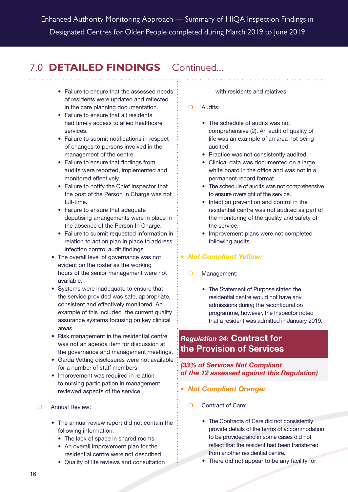- Failure to ensure that the assessed needs of residents were updated and reflected in the care planning documentation.
- Failure to ensure that all residents had timely access to allied healthcare services.
- Failure to submit notifications in respect of changes to persons involved in the management of the centre.
- Failure to ensure that findings from audits were reported, implemented and monitored effectively.
- Failure to notify the Chief Inspector that the post of the Person In Charge was not full-time.
- Failure to ensure that adequate deputising arrangements were in place in the absence of the Person In Charge.
- Failure to submit requested information in relation to action plan in place to address infection control audit findings.
- The overall level of governance was not evident on the roster as the working hours of the senior management were not available.
- Systems were inadequate to ensure that the service provided was safe, appropriate, consistent and effectively monitored. An example of this included the current quality assurance systems focusing on key clinical areas.
- Risk management in the residential centre was not an agenda item for discussion at the governance and management meetings.
- Garda Vetting disclosures were not available for a number of staff members.
- Improvement was required in relation to nursing participation in management reviewed aspects of the service.
- O Annual Review:
	- The annual review report did not contain the following information:
		- The lack of space in shared rooms.
		- An overall improvement plan for the residential centre were not described.
		- Quality of life reviews and consultation

#### with residents and relatives.

#### O Audits:

- The schedule of audits was not comprehensive (2). An audit of quality of life was an example of an area not being audited.
- Practice was not consistently audited.
- Clinical data was documented on a large white board in the office and was not in a permanent record format.
- The schedule of audits was not comprehensive to ensure oversight of the service.
- Infection prevention and control in the residential centre was not audited as part of the monitoring of the quality and safety of the service.
- Improvement plans were not completed following audits.

#### *• Not Compliant Yellow:*

- O Management:
	- The Statement of Purpose stated the residential centre would not have any admissions during the reconfiguration programme, however, the Inspector noted that a resident was admitted in January 2019.

#### *Regulation 24:* Contract for the Provision of Services

#### *(33% of Services Not Compliant of the 12 assessed against this Regulation)*

- *• Not Compliant Orange:*
	- Contract of Care:
		- The Contracts of Care did not consistently provide details of the terms of accommodation to be provided and in some cases did not reflect that the resident had been transferred from another residential centre.
		- There did not appear to be any facility for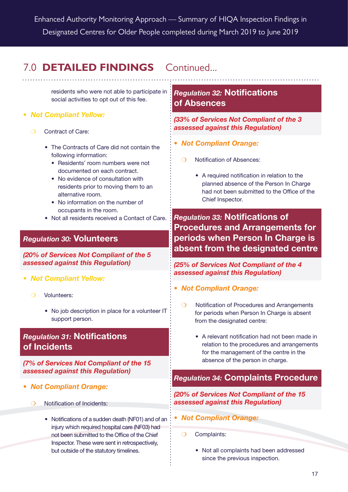residents who were not able to participate in social activities to opt out of this fee.

#### *• Not Compliant Yellow:*

- O Contract of Care:
	- The Contracts of Care did not contain the following information:
		- Residents' room numbers were not documented on each contract.
		- No evidence of consultation with residents prior to moving them to an alternative room.
		- No information on the number of occupants in the room.
	- Not all residents received a Contact of Care.

#### *Regulation 30:* Volunteers

*(20% of Services Not Compliant of the 5 assessed against this Regulation)*

- *• Not Compliant Yellow:*
	- ❍ Volunteers:
		- No job description in place for a volunteer IT support person.

# *Regulation 31:* Notifications of Incidents

*(7% of Services Not Compliant of the 15 assessed against this Regulation)*

- *• Not Compliant Orange:*
	- ❍ Notification of Incidents:
		- Notifications of a sudden death (NF01) and of an injury which required hospital care (NF03) had not been submitted to the Office of the Chief Inspector. These were sent in retrospectively, but outside of the statutory timelines.

#### *Regulation 32:* Notifications of Absences

*(33% of Services Not Compliant of the 3 assessed against this Regulation)*

- *• Not Compliant Orange:*
	- O Notification of Absences:
		- A required notification in relation to the planned absence of the Person In Charge had not been submitted to the Office of the Chief Inspector.

*Regulation 33:* Notifications of Procedures and Arrangements for periods when Person In Charge is absent from the designated centre

*(25% of Services Not Compliant of the 4 assessed against this Regulation)*

- *• Not Compliant Orange:*
	- O Notification of Procedures and Arrangements for periods when Person In Charge is absent from the designated centre:
		- A relevant notification had not been made in relation to the procedures and arrangements for the management of the centre in the absence of the person in charge.

#### *Regulation 34:* Complaints Procedure

*(20% of Services Not Compliant of the 15 assessed against this Regulation)* 

- *• Not Compliant Orange:*
	- O Complaints:
		- Not all complaints had been addressed since the previous inspection.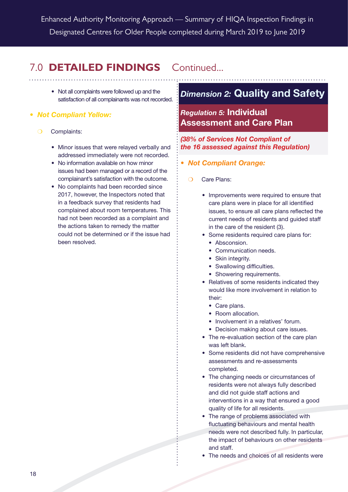• Not all complaints were followed up and the satisfaction of all complainants was not recorded.

#### *• Not Compliant Yellow:*

- O Complaints:
	- Minor issues that were relayed verbally and addressed immediately were not recorded.
	- No information available on how minor issues had been managed or a record of the complainant's satisfaction with the outcome.
	- No complaints had been recorded since 2017, however, the Inspectors noted that in a feedback survey that residents had complained about room temperatures. This had not been recorded as a complaint and the actions taken to remedy the matter could not be determined or if the issue had been resolved.

# *Dimension 2:* Quality and Safety

#### *Regulation 5:* Individual Assessment and Care Plan

#### *(38% of Services Not Compliant of the 16 assessed against this Regulation)*

- *• Not Compliant Orange:*
	- O Care Plans:
		- Improvements were required to ensure that care plans were in place for all identified issues, to ensure all care plans reflected the current needs of residents and guided staff in the care of the resident (3).
		- Some residents required care plans for:
			- Absconsion.
			- Communication needs.
			- Skin integrity.
			- Swallowing difficulties.
			- Showering requirements.
		- Relatives of some residents indicated they would like more involvement in relation to their:
			- Care plans.
			- Room allocation.
			- Involvement in a relatives' forum.
			- Decision making about care issues.
		- The re-evaluation section of the care plan was left blank.
		- Some residents did not have comprehensive assessments and re-assessments completed.
		- The changing needs or circumstances of residents were not always fully described and did not guide staff actions and interventions in a way that ensured a good quality of life for all residents.
		- The range of problems associated with fluctuating behaviours and mental health needs were not described fully. In particular, the impact of behaviours on other residents and staff.
		- The needs and choices of all residents were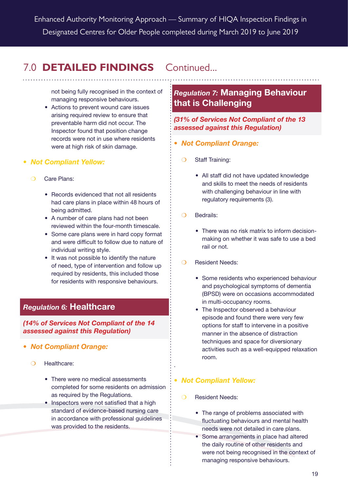# 7.0 **DETAILED FINDINGS** Continued...

not being fully recognised in the context of managing responsive behaviours.

• Actions to prevent wound care issues arising required review to ensure that preventable harm did not occur. The Inspector found that position change records were not in use where residents were at high risk of skin damage.

#### *• Not Compliant Yellow:*

- O Care Plans:
	- Records evidenced that not all residents had care plans in place within 48 hours of being admitted.
	- A number of care plans had not been reviewed within the four-month timescale.
	- Some care plans were in hard copy format and were difficult to follow due to nature of individual writing style.
	- It was not possible to identify the nature of need, type of intervention and follow up required by residents, this included those for residents with responsive behaviours.

#### *Regulation 6:* Healthcare

*(14% of Services Not Compliant of the 14 assessed against this Regulation)*

- *• Not Compliant Orange:*
	- O Healthcare:
		- There were no medical assessments completed for some residents on admission as required by the Regulations.
		- Inspectors were not satisfied that a high standard of evidence-based nursing care in accordance with professional guidelines was provided to the residents.

# *Regulation 7:* Managing Behaviour that is Challenging

*(31% of Services Not Compliant of the 13 assessed against this Regulation)*

- *• Not Compliant Orange:*
	- O Staff Training:
		- All staff did not have updated knowledge and skills to meet the needs of residents with challenging behaviour in line with regulatory requirements (3).
	- O Bedrails:
		- There was no risk matrix to inform decisionmaking on whether it was safe to use a bed rail or not.
	- O Resident Needs:
		- Some residents who experienced behaviour and psychological symptoms of dementia (BPSD) were on occasions accommodated in multi-occupancy rooms.
		- The Inspector observed a behaviour episode and found there were very few options for staff to intervene in a positive manner in the absence of distraction techniques and space for diversionary activities such as a well-equipped relaxation room.

#### *• Not Compliant Yellow:*

O Resident Needs:

.

- The range of problems associated with fluctuating behaviours and mental health needs were not detailed in care plans.
- Some arrangements in place had altered the daily routine of other residents and were not being recognised in the context of managing responsive behaviours.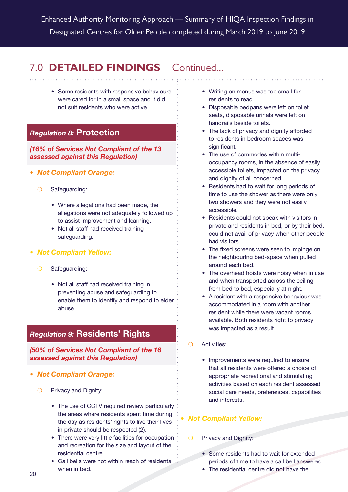• Some residents with responsive behaviours were cared for in a small space and it did not suit residents who were active.

#### *Regulation 8:* Protection

*(16% of Services Not Compliant of the 13 assessed against this Regulation)*

- *• Not Compliant Orange:*
	- O Safeguarding:
		- Where allegations had been made, the allegations were not adequately followed up to assist improvement and learning.
		- Not all staff had received training safeguarding.
- *• Not Compliant Yellow:*
	- O Safeguarding:
		- Not all staff had received training in preventing abuse and safeguarding to enable them to identify and respond to elder abuse.

#### *Regulation 9:* Residents' Rights

*(50% of Services Not Compliant of the 16 assessed against this Regulation)*

- *• Not Compliant Orange:*
	- O Privacy and Dignity:
		- The use of CCTV required review particularly the areas where residents spent time during the day as residents' rights to live their lives in private should be respected (2).
		- There were very little facilities for occupation and recreation for the size and layout of the residential centre.
		- Call bells were not within reach of residents when in bed.
- Writing on menus was too small for residents to read.
- Disposable bedpans were left on toilet seats, disposable urinals were left on handrails beside toilets.
- The lack of privacy and dignity afforded to residents in bedroom spaces was significant.
- The use of commodes within multioccupancy rooms, in the absence of easily accessible toilets, impacted on the privacy and dignity of all concerned.
- Residents had to wait for long periods of time to use the shower as there were only two showers and they were not easily accessible.
- Residents could not speak with visitors in private and residents in bed, or by their bed, could not avail of privacy when other people had visitors.
- The fixed screens were seen to impinge on the neighbouring bed-space when pulled around each bed.
- The overhead hoists were noisy when in use and when transported across the ceiling from bed to bed, especially at night.
- A resident with a responsive behaviour was accommodated in a room with another resident while there were vacant rooms available. Both residents right to privacy was impacted as a result.
- ❍ Activities:
	- Improvements were required to ensure that all residents were offered a choice of appropriate recreational and stimulating activities based on each resident assessed social care needs, preferences, capabilities and interests.

#### *• Not Compliant Yellow:*

- O Privacy and Dignity:
	- Some residents had to wait for extended periods of time to have a call bell answered.
	- The residential centre did not have the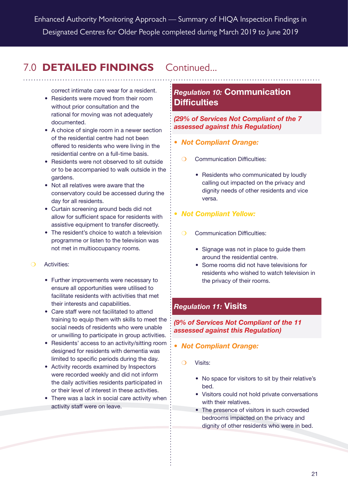# 7.0 **DETAILED FINDINGS** Continued...

correct intimate care wear for a resident.

- Residents were moved from their room without prior consultation and the rational for moving was not adequately documented.
- A choice of single room in a newer section of the residential centre had not been offered to residents who were living in the residential centre on a full-time basis.
- Residents were not observed to sit outside or to be accompanied to walk outside in the gardens.
- Not all relatives were aware that the conservatory could be accessed during the day for all residents.
- Curtain screening around beds did not allow for sufficient space for residents with assistive equipment to transfer discreetly.
- The resident's choice to watch a television programme or listen to the television was not met in multioccupancy rooms.

#### O Activities:

- Further improvements were necessary to ensure all opportunities were utilised to facilitate residents with activities that met their interests and capabilities.
- Care staff were not facilitated to attend training to equip them with skills to meet the social needs of residents who were unable or unwilling to participate in group activities.
- Residents' access to an activity/sitting room designed for residents with dementia was limited to specific periods during the day.
- Activity records examined by Inspectors were recorded weekly and did not inform the daily activities residents participated in or their level of interest in these activities.
- There was a lack in social care activity when activity staff were on leave.

## *Regulation 10:* Communication **Difficulties**

*(29% of Services Not Compliant of the 7 assessed against this Regulation)*

#### *• Not Compliant Orange:*

- ❍ Communication Difficulties:
	- Residents who communicated by loudly calling out impacted on the privacy and dignity needs of other residents and vice versa.

#### *• Not Compliant Yellow:*

- O Communication Difficulties:
	- Signage was not in place to guide them around the residential centre.
	- Some rooms did not have televisions for residents who wished to watch television in the privacy of their rooms.

#### *Regulation 11:* Visits

#### *(9% of Services Not Compliant of the 11 assessed against this Regulation)*

#### *• Not Compliant Orange:*

- ❍ Visits:
	- No space for visitors to sit by their relative's bed.
	- Visitors could not hold private conversations with their relatives.
	- The presence of visitors in such crowded bedrooms impacted on the privacy and dignity of other residents who were in bed.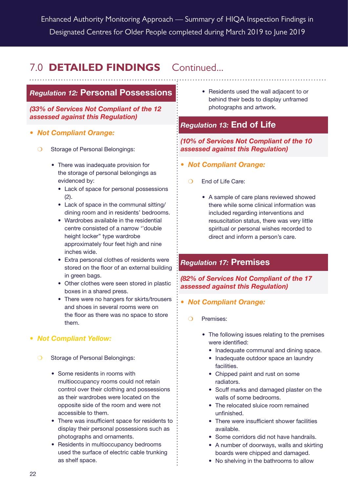# 7.0 **DETAILED FINDINGS** Continued...

#### *Regulation 12:* Personal Possessions

*(33% of Services Not Compliant of the 12 assessed against this Regulation)*

*• Not Compliant Orange:*

- O Storage of Personal Belongings:
	- There was inadequate provision for the storage of personal belongings as evidenced by:
		- Lack of space for personal possessions (2).
		- Lack of space in the communal sitting/ dining room and in residents' bedrooms.
		- Wardrobes available in the residential centre consisted of a narrow ''double height locker'' type wardrobe approximately four feet high and nine inches wide.
		- Extra personal clothes of residents were stored on the floor of an external building in green bags.
		- Other clothes were seen stored in plastic boxes in a shared press.
		- There were no hangers for skirts/trousers and shoes in several rooms were on the floor as there was no space to store them.

#### *• Not Compliant Yellow:*

- O Storage of Personal Belongings:
	- Some residents in rooms with multioccupancy rooms could not retain control over their clothing and possessions as their wardrobes were located on the opposite side of the room and were not accessible to them.
	- There was insufficient space for residents to display their personal possessions such as photographs and ornaments.
	- Residents in multioccupancy bedrooms used the surface of electric cable trunking as shelf space.

• Residents used the wall adjacent to or behind their beds to display unframed photographs and artwork.

#### *Regulation 13:* End of Life

#### *(10% of Services Not Compliant of the 10 assessed against this Regulation)*

- *• Not Compliant Orange:*
	- O End of Life Care:
		- A sample of care plans reviewed showed there while some clinical information was included regarding interventions and resuscitation status, there was very little spiritual or personal wishes recorded to direct and inform a person's care.

#### *Regulation 17:* Premises

#### *(82% of Services Not Compliant of the 17 assessed against this Regulation)*

- *• Not Compliant Orange:*
	- O Premises:
		- The following issues relating to the premises were identified:
			- Inadequate communal and dining space.
			- Inadequate outdoor space an laundry facilities.
			- Chipped paint and rust on some radiators.
			- Scuff marks and damaged plaster on the walls of some bedrooms.
			- The relocated sluice room remained unfinished.
			- There were insufficient shower facilities available.
			- Some corridors did not have handrails.
			- A number of doorways, walls and skirting boards were chipped and damaged.
			- No shelving in the bathrooms to allow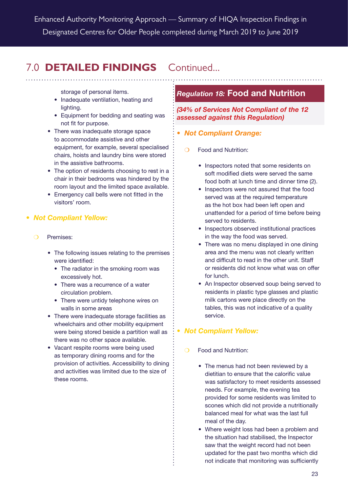# 7.0 **DETAILED FINDINGS** Continued...

storage of personal items.

- Inadequate ventilation, heating and lighting.
- Equipment for bedding and seating was not fit for purpose.
- There was inadequate storage space to accommodate assistive and other equipment, for example, several specialised chairs, hoists and laundry bins were stored in the assistive bathrooms.
- The option of residents choosing to rest in a chair in their bedrooms was hindered by the room layout and the limited space available.
- Emergency call bells were not fitted in the visitors' room.

#### *• Not Compliant Yellow:*

- O Premises:
	- The following issues relating to the premises were identified:
		- The radiator in the smoking room was excessively hot.
		- There was a recurrence of a water circulation problem.
		- There were untidy telephone wires on walls in some areas
	- There were inadequate storage facilities as wheelchairs and other mobility equipment were being stored beside a partition wall as there was no other space available.
	- Vacant respite rooms were being used as temporary dining rooms and for the provision of activities. Accessibility to dining and activities was limited due to the size of these rooms.

### *Regulation 18:* Food and Nutrition

#### *(34% of Services Not Compliant of the 12 assessed against this Regulation)*

- *• Not Compliant Orange:*
	- O Food and Nutrition:
		- Inspectors noted that some residents on soft modified diets were served the same food both at lunch time and dinner time (2).
		- Inspectors were not assured that the food served was at the required temperature as the hot box had been left open and unattended for a period of time before being served to residents.
		- Inspectors observed institutional practices in the way the food was served.
		- There was no menu displayed in one dining area and the menu was not clearly written and difficult to read in the other unit. Staff or residents did not know what was on offer for lunch.
		- An Inspector observed soup being served to residents in plastic type glasses and plastic milk cartons were place directly on the tables, this was not indicative of a quality service.

#### *• Not Compliant Yellow:*

- ❍ Food and Nutrition:
	- The menus had not been reviewed by a dietitian to ensure that the calorific value was satisfactory to meet residents assessed needs. For example, the evening tea provided for some residents was limited to scones which did not provide a nutritionally balanced meal for what was the last full meal of the day.
	- Where weight loss had been a problem and the situation had stabilised, the Inspector saw that the weight record had not been updated for the past two months which did not indicate that monitoring was sufficiently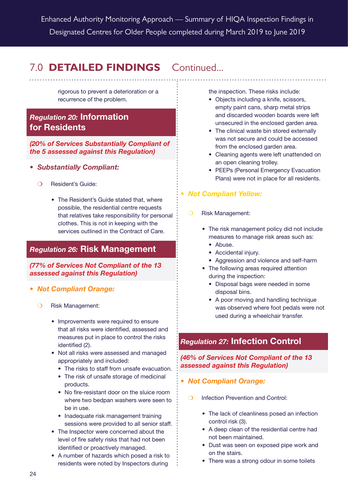# 7.0 **DETAILED FINDINGS** Continued...

rigorous to prevent a deterioration or a recurrence of the problem.

#### *Regulation 20:* Information for Residents

*(20% of Services Substantially Compliant of the 5 assessed against this Regulation)* 

- *• Substantially Compliant:*
	- ❍ Resident's Guide:
		- The Resident's Guide stated that, where possible, the residential centre requests that relatives take responsibility for personal clothes. This is not in keeping with the services outlined in the Contract of Care.

#### *Regulation 26:* Risk Management

*(77% of Services Not Compliant of the 13 assessed against this Regulation)* 

- *• Not Compliant Orange:*
	- O Risk Management:
		- Improvements were required to ensure that all risks were identified, assessed and measures put in place to control the risks identified (2).
		- Not all risks were assessed and managed appropriately and included:
			- The risks to staff from unsafe evacuation.
			- The risk of unsafe storage of medicinal products.
			- No fire-resistant door on the sluice room where two bedpan washers were seen to be in use.
			- Inadequate risk management training sessions were provided to all senior staff.
		- The Inspector were concerned about the level of fire safety risks that had not been identified or proactively managed.
		- A number of hazards which posed a risk to residents were noted by Inspectors during

the inspection. These risks include:

- Objects including a knife, scissors, empty paint cans, sharp metal strips and discarded wooden boards were left unsecured in the enclosed garden area.
- The clinical waste bin stored externally was not secure and could be accessed from the enclosed garden area.
- Cleaning agents were left unattended on an open cleaning trolley.
- PEEPs (Personal Emergency Evacuation Plans) were not in place for all residents.

#### *• Not Compliant Yellow:*

- O Risk Management:
	- The risk management policy did not include measures to manage risk areas such as:
		- Abuse.
		- Accidental injury.
		- Aggression and violence and self-harm
	- The following areas required attention during the inspection:
		- Disposal bags were needed in some disposal bins.
		- A poor moving and handling technique was observed where foot pedals were not used during a wheelchair transfer.

#### *Regulation 27:* Infection Control

*(46% of Services Not Compliant of the 13 assessed against this Regulation)* 

- *• Not Compliant Orange:*
	- O Infection Prevention and Control:
		- The lack of cleanliness posed an infection control risk (3).
		- A deep clean of the residential centre had not been maintained.
		- Dust was seen on exposed pipe work and on the stairs.
		- There was a strong odour in some toilets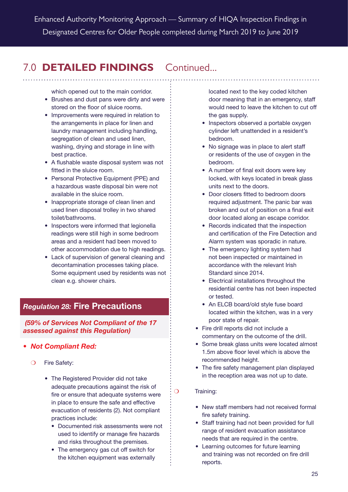# 7.0 **DETAILED FINDINGS** Continued...

which opened out to the main corridor.

- Brushes and dust pans were dirty and were stored on the floor of sluice rooms.
- Improvements were required in relation to the arrangements in place for linen and laundry management including handling, segregation of clean and used linen, washing, drying and storage in line with best practice.
- A flushable waste disposal system was not fitted in the sluice room.
- Personal Protective Equipment (PPE) and a hazardous waste disposal bin were not available in the sluice room.
- Inappropriate storage of clean linen and used linen disposal trolley in two shared toilet/bathrooms.
- Inspectors were informed that legionella readings were still high in some bedroom areas and a resident had been moved to other accommodation due to high readings.
- Lack of supervision of general cleaning and decontamination processes taking place. Some equipment used by residents was not clean e.g. shower chairs.

### *Regulation 28:* Fire Precautions

 *(59% of Services Not Compliant of the 17 assessed against this Regulation)* 

#### *• Not Compliant Red:*

- O Fire Safety:
	- The Registered Provider did not take adequate precautions against the risk of fire or ensure that adequate systems were in place to ensure the safe and effective evacuation of residents (2). Not compliant practices include:
		- Documented risk assessments were not used to identify or manage fire hazards and risks throughout the premises.
		- The emergency gas cut off switch for the kitchen equipment was externally

located next to the key coded kitchen door meaning that in an emergency, staff would need to leave the kitchen to cut off the gas supply.

- Inspectors observed a portable oxygen cylinder left unattended in a resident's bedroom.
- No signage was in place to alert staff or residents of the use of oxygen in the bedroom.
- A number of final exit doors were key locked, with keys located in break glass units next to the doors.
- Door closers fitted to bedroom doors required adjustment. The panic bar was broken and out of position on a final exit door located along an escape corridor.
- Records indicated that the inspection and certification of the Fire Detection and Alarm system was sporadic in nature.
- The emergency lighting system had not been inspected or maintained in accordance with the relevant Irish Standard since 2014.
- Electrical installations throughout the residential centre has not been inspected or tested.
- An ELCB board/old style fuse board located within the kitchen, was in a very poor state of repair.
- Fire drill reports did not include a commentary on the outcome of the drill.
- Some break glass units were located almost 1.5m above floor level which is above the recommended height.
- The fire safety management plan displayed in the reception area was not up to date.

#### O Training:

- New staff members had not received formal fire safety training.
- Staff training had not been provided for full range of resident evacuation assistance needs that are required in the centre.
- Learning outcomes for future learning and training was not recorded on fire drill reports.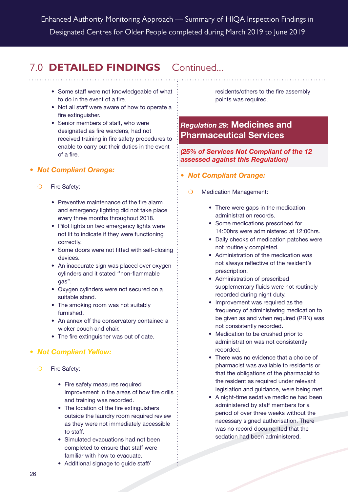- Some staff were not knowledgeable of what to do in the event of a fire.
- Not all staff were aware of how to operate a fire extinguisher.
- Senior members of staff, who were designated as fire wardens, had not received training in fire safety procedures to enable to carry out their duties in the event of a fire.

#### *• Not Compliant Orange:*

- O Fire Safety:
	- Preventive maintenance of the fire alarm and emergency lighting did not take place every three months throughout 2018.
	- Pilot lights on two emergency lights were not lit to indicate if they were functioning correctly.
	- Some doors were not fitted with self-closing devices.
	- An inaccurate sign was placed over oxygen cylinders and it stated ''non-flammable gas''.
	- Oxygen cylinders were not secured on a suitable stand.
	- The smoking room was not suitably furnished.
	- An annex off the conservatory contained a wicker couch and chair.
	- The fire extinguisher was out of date.

#### *• Not Compliant Yellow:*

- O Fire Safety:
	- Fire safety measures required improvement in the areas of how fire drills and training was recorded.
	- The location of the fire extinguishers outside the laundry room required review as they were not immediately accessible to staff.
	- Simulated evacuations had not been completed to ensure that staff were familiar with how to evacuate.
	- Additional signage to guide staff/

residents/others to the fire assembly points was required.

#### *Regulation 29:* Medicines and Pharmaceutical Services

#### *(25% of Services Not Compliant of the 12 assessed against this Regulation)*

- *• Not Compliant Orange:*
	- O Medication Management:
		- There were gaps in the medication administration records.
		- Some medications prescribed for 14:00hrs were administered at 12:00hrs.
		- Daily checks of medication patches were not routinely completed.
		- Administration of the medication was not always reflective of the resident's prescription.
		- Administration of prescribed supplementary fluids were not routinely recorded during night duty.
		- Improvement was required as the frequency of administering medication to be given as and when required (PRN) was not consistently recorded.
		- Medication to be crushed prior to administration was not consistently recorded.
		- There was no evidence that a choice of pharmacist was available to residents or that the obligations of the pharmacist to the resident as required under relevant legislation and guidance, were being met.
		- A night-time sedative medicine had been administered by staff members for a period of over three weeks without the necessary signed authorisation. There was no record documented that the sedation had been administered.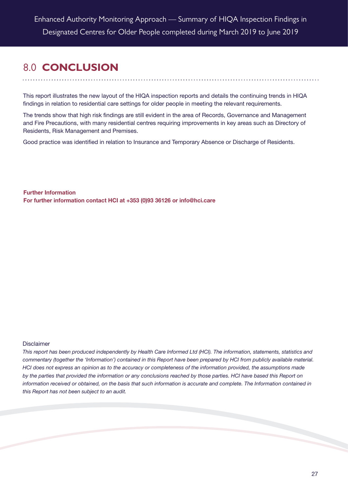# 8.0 **CONCLUSION**

This report illustrates the new layout of the HIQA inspection reports and details the continuing trends in HIQA findings in relation to residential care settings for older people in meeting the relevant requirements.

The trends show that high risk findings are still evident in the area of Records, Governance and Management and Fire Precautions, with many residential centres requiring improvements in key areas such as Directory of Residents, Risk Management and Premises.

Good practice was identified in relation to Insurance and Temporary Absence or Discharge of Residents.

Further Information For further information contact HCI at +353 (0)93 36126 or info@hci.care

#### Disclaimer

*This report has been produced independently by Health Care Informed Ltd (HCI). The information, statements, statistics and commentary (together the 'Information') contained in this Report have been prepared by HCI from publicly available material. HCI does not express an opinion as to the accuracy or completeness of the information provided, the assumptions made by the parties that provided the information or any conclusions reached by those parties. HCI have based this Report on information received or obtained, on the basis that such information is accurate and complete. The Information contained in this Report has not been subject to an audit.*